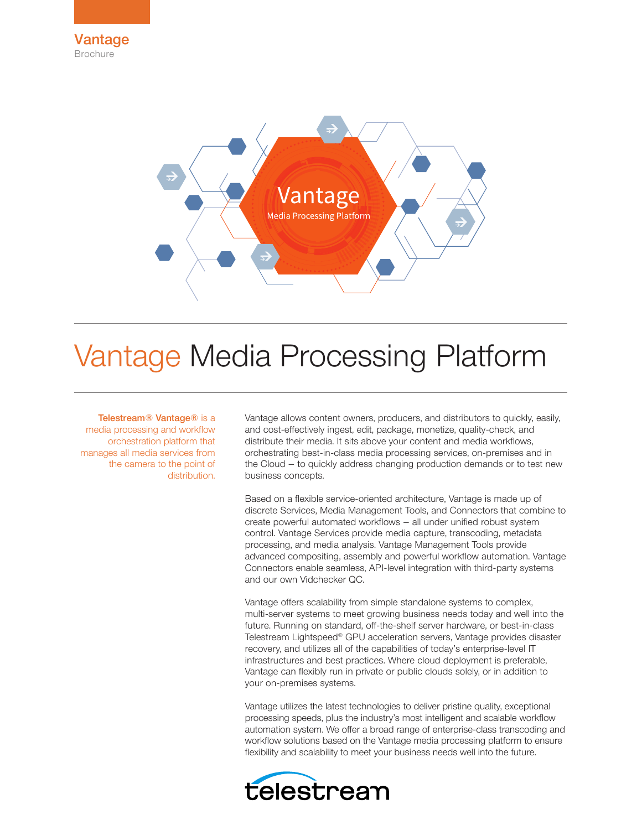



# Vantage Media Processing Platform

# Telestream® Vantage® is a

media processing and workflow orchestration platform that manages all media services from the camera to the point of distribution.

Vantage allows content owners, producers, and distributors to quickly, easily, and cost-effectively ingest, edit, package, monetize, quality-check, and distribute their media. It sits above your content and media workflows, orchestrating best-in-class media processing services, on-premises and in the Cloud – to quickly address changing production demands or to test new business concepts.

Based on a flexible service-oriented architecture, Vantage is made up of discrete Services, Media Management Tools, and Connectors that combine to create powerful automated workflows – all under unified robust system control. Vantage Services provide media capture, transcoding, metadata processing, and media analysis. Vantage Management Tools provide advanced compositing, assembly and powerful workflow automation. Vantage Connectors enable seamless, API-level integration with third-party systems and our own Vidchecker QC.

Vantage offers scalability from simple standalone systems to complex, multi-server systems to meet growing business needs today and well into the future. Running on standard, off-the-shelf server hardware, or best-in-class Telestream Lightspeed® GPU acceleration servers, Vantage provides disaster recovery, and utilizes all of the capabilities of today's enterprise-level IT infrastructures and best practices. Where cloud deployment is preferable, Vantage can flexibly run in private or public clouds solely, or in addition to your on-premises systems.

Vantage utilizes the latest technologies to deliver pristine quality, exceptional processing speeds, plus the industry's most intelligent and scalable workflow automation system. We offer a broad range of enterprise-class transcoding and workflow solutions based on the Vantage media processing platform to ensure flexibility and scalability to meet your business needs well into the future.

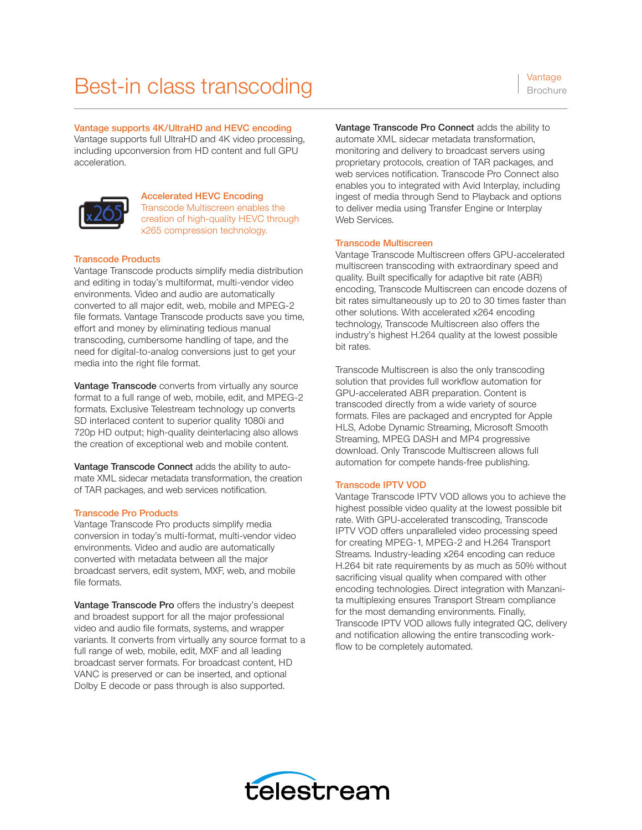# Best-in class transcoding Vantage Session

Vantage supports 4K/UltraHD and HEVC encoding

Vantage supports full UltraHD and 4K video processing, including upconversion from HD content and full GPU acceleration.



Accelerated HEVC Encoding Transcode Multiscreen enables the creation of high-quality HEVC through x265 compression technology.

## Transcode Products

Vantage Transcode products simplify media distribution and editing in today's multiformat, multi-vendor video environments. Video and audio are automatically converted to all major edit, web, mobile and MPEG-2 file formats. Vantage Transcode products save you time, effort and money by eliminating tedious manual transcoding, cumbersome handling of tape, and the need for digital-to-analog conversions just to get your media into the right file format.

Vantage Transcode converts from virtually any source format to a full range of web, mobile, edit, and MPEG-2 formats. Exclusive Telestream technology up converts SD interlaced content to superior quality 1080i and 720p HD output; high-quality deinterlacing also allows the creation of exceptional web and mobile content.

Vantage Transcode Connect adds the ability to automate XML sidecar metadata transformation, the creation of TAR packages, and web services notification.

# Transcode Pro Products

Vantage Transcode Pro products simplify media conversion in today's multi-format, multi-vendor video environments. Video and audio are automatically converted with metadata between all the major broadcast servers, edit system, MXF, web, and mobile file formats.

Vantage Transcode Pro offers the industry's deepest and broadest support for all the major professional video and audio file formats, systems, and wrapper variants. It converts from virtually any source format to a full range of web, mobile, edit, MXF and all leading broadcast server formats. For broadcast content, HD VANC is preserved or can be inserted, and optional Dolby E decode or pass through is also supported.

Vantage Transcode Pro Connect adds the ability to automate XML sidecar metadata transformation, monitoring and delivery to broadcast servers using proprietary protocols, creation of TAR packages, and web services notification. Transcode Pro Connect also enables you to integrated with Avid Interplay, including ingest of media through Send to Playback and options to deliver media using Transfer Engine or Interplay Web Services.

## Transcode Multiscreen

Vantage Transcode Multiscreen offers GPU-accelerated multiscreen transcoding with extraordinary speed and quality. Built specifically for adaptive bit rate (ABR) encoding, Transcode Multiscreen can encode dozens of bit rates simultaneously up to 20 to 30 times faster than other solutions. With accelerated x264 encoding technology, Transcode Multiscreen also offers the industry's highest H.264 quality at the lowest possible bit rates.

Transcode Multiscreen is also the only transcoding solution that provides full workflow automation for GPU-accelerated ABR preparation. Content is transcoded directly from a wide variety of source formats. Files are packaged and encrypted for Apple HLS, Adobe Dynamic Streaming, Microsoft Smooth Streaming, MPEG DASH and MP4 progressive download. Only Transcode Multiscreen allows full automation for compete hands-free publishing.

# Transcode IPTV VOD

Vantage Transcode IPTV VOD allows you to achieve the highest possible video quality at the lowest possible bit rate. With GPU-accelerated transcoding, Transcode IPTV VOD offers unparalleled video processing speed for creating MPEG-1, MPEG-2 and H.264 Transport Streams. Industry-leading x264 encoding can reduce H.264 bit rate requirements by as much as 50% without sacrificing visual quality when compared with other encoding technologies. Direct integration with Manzanita multiplexing ensures Transport Stream compliance for the most demanding environments. Finally, Transcode IPTV VOD allows fully integrated QC, delivery and notification allowing the entire transcoding workflow to be completely automated.

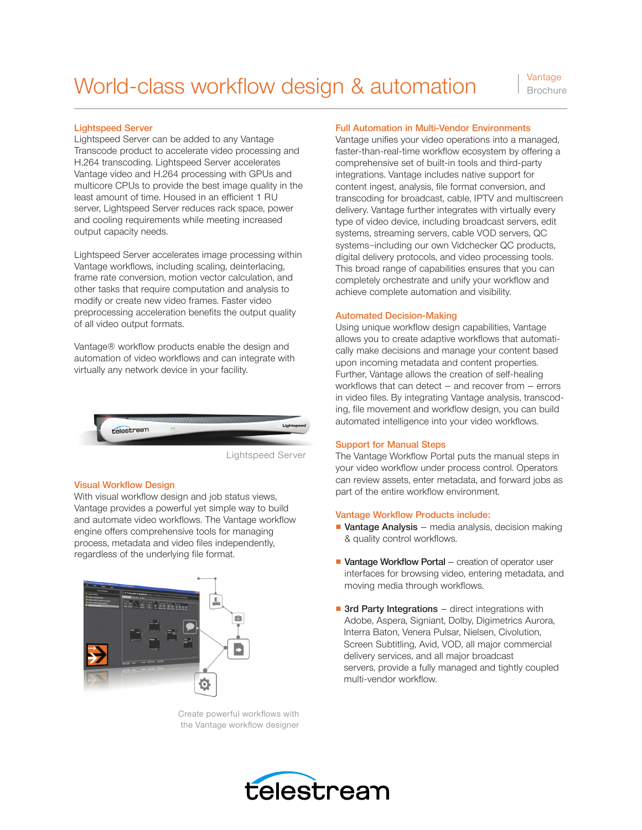# Lightspeed Server

Lightspeed Server can be added to any Vantage Transcode product to accelerate video processing and H.264 transcoding. Lightspeed Server accelerates Vantage video and H.264 processing with GPUs and multicore CPUs to provide the best image quality in the least amount of time. Housed in an efficient 1 RU server, Lightspeed Server reduces rack space, power and cooling requirements while meeting increased output capacity needs.

Lightspeed Server accelerates image processing within Vantage workflows, including scaling, deinterlacing, frame rate conversion, motion vector calculation, and other tasks that require computation and analysis to modify or create new video frames. Faster video preprocessing acceleration benefits the output quality of all video output formats.

Vantage® workflow products enable the design and automation of video workflows and can integrate with virtually any network device in your facility.



Lightspeed Server

#### **Visual Workflow Design**

With visual workflow design and job status views, Vantage provides a powerful yet simple way to build and automate video workflows. The Vantage workflow engine offers comprehensive tools for managing process, metadata and video files independently, regardless of the underlying file format.



Create powerful workflows with the Vantage workflow designer

### Full Automation in Multi-Vendor Environments

Vantage unifies your video operations into a managed, faster-than-real-time workflow ecosystem by offering a comprehensive set of built-in tools and third-party integrations. Vantage includes native support for content ingest, analysis, file format conversion, and transcoding for broadcast, cable, IPTV and multiscreen delivery. Vantage further integrates with virtually every type of video device, including broadcast servers, edit systems, streaming servers, cable VOD servers, QC systems—including our own Vidchecker QC products, digital delivery protocols, and video processing tools. This broad range of capabilities ensures that you can completely orchestrate and unify your workflow and achieve complete automation and visibility.

#### Automated Decision-Making

Using unique workflow design capabilities, Vantage allows you to create adaptive workflows that automatically make decisions and manage your content based upon incoming metadata and content properties. Further, Vantage allows the creation of self-healing workflows that can detect  $-$  and recover from  $-$  errors in video files. By integrating Vantage analysis, transcoding, file movement and workflow design, you can build automated intelligence into your video workflows.

#### Support for Manual Steps

The Vantage Workflow Portal puts the manual steps in your video workflow under process control. Operators can review assets, enter metadata, and forward jobs as part of the entire workflow environment.

#### Vantage Workflow Products include:

- Vantage Analysis media analysis, decision making & quality control workflows.
- Vantage Workflow Portal creation of operator user interfaces for browsing video, entering metadata, and moving media through workflows.
- 3rd Party Integrations direct integrations with Adobe, Aspera, Signiant, Dolby, Digimetrics Aurora, Interra Baton, Venera Pulsar, Nielsen, Civolution, Screen Subtitling, Avid, VOD, all major commercial delivery services, and all major broadcast servers, provide a fully managed and tightly coupled multi-vendor workflow.

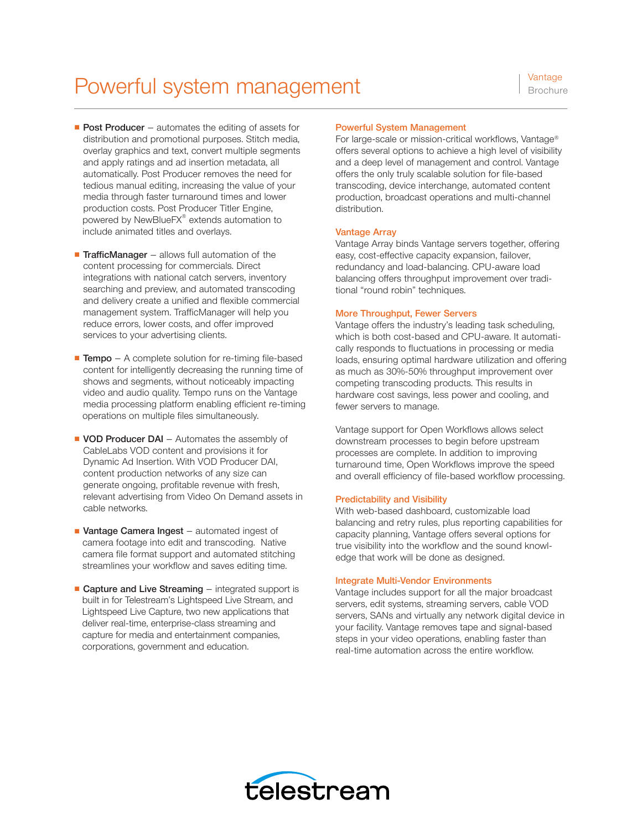# Powerful system management Vantage

- Post Producer automates the editing of assets for distribution and promotional purposes. Stitch media, overlay graphics and text, convert multiple segments and apply ratings and ad insertion metadata, all automatically. Post Producer removes the need for tedious manual editing, increasing the value of your media through faster turnaround times and lower production costs. Post Producer Titler Engine, powered by NewBlueFX® extends automation to include animated titles and overlays.
- TrafficManager allows full automation of the content processing for commercials. Direct integrations with national catch servers, inventory searching and preview, and automated transcoding and delivery create a unified and flexible commercial management system. TrafficManager will help you reduce errors, lower costs, and offer improved services to your advertising clients.
- Tempo A complete solution for re-timing file-based content for intelligently decreasing the running time of shows and segments, without noticeably impacting video and audio quality. Tempo runs on the Vantage media processing platform enabling efficient re-timing operations on multiple files simultaneously.
- VOD Producer DAI Automates the assembly of CableLabs VOD content and provisions it for Dynamic Ad Insertion. With VOD Producer DAI, content production networks of any size can generate ongoing, profitable revenue with fresh, relevant advertising from Video On Demand assets in cable networks.
- Vantage Camera Ingest automated ingest of camera footage into edit and transcoding. Native camera file format support and automated stitching streamlines your workflow and saves editing time.
- Capture and Live Streaming integrated support is built in for Telestream's Lightspeed Live Stream, and Lightspeed Live Capture, two new applications that deliver real-time, enterprise-class streaming and capture for media and entertainment companies, corporations, government and education.

# Powerful System Management

For large-scale or mission-critical workflows, Vantage® offers several options to achieve a high level of visibility and a deep level of management and control. Vantage offers the only truly scalable solution for file-based transcoding, device interchange, automated content production, broadcast operations and multi-channel distribution.

## Vantage Array

Vantage Array binds Vantage servers together, offering easy, cost-effective capacity expansion, failover, redundancy and load-balancing. CPU-aware load balancing offers throughput improvement over traditional "round robin" techniques.

#### More Throughput, Fewer Servers

Vantage offers the industry's leading task scheduling, which is both cost-based and CPU-aware. It automatically responds to fluctuations in processing or media loads, ensuring optimal hardware utilization and offering as much as 30%-50% throughput improvement over competing transcoding products. This results in hardware cost savings, less power and cooling, and fewer servers to manage.

Vantage support for Open Workflows allows select downstream processes to begin before upstream processes are complete. In addition to improving turnaround time, Open Workflows improve the speed and overall efficiency of file-based workflow processing.

#### Predictability and Visibility

With web-based dashboard, customizable load balancing and retry rules, plus reporting capabilities for capacity planning, Vantage offers several options for true visibility into the workflow and the sound knowledge that work will be done as designed.

#### Integrate Multi-Vendor Environments

Vantage includes support for all the major broadcast servers, edit systems, streaming servers, cable VOD servers, SANs and virtually any network digital device in your facility. Vantage removes tape and signal-based steps in your video operations, enabling faster than real-time automation across the entire workflow.